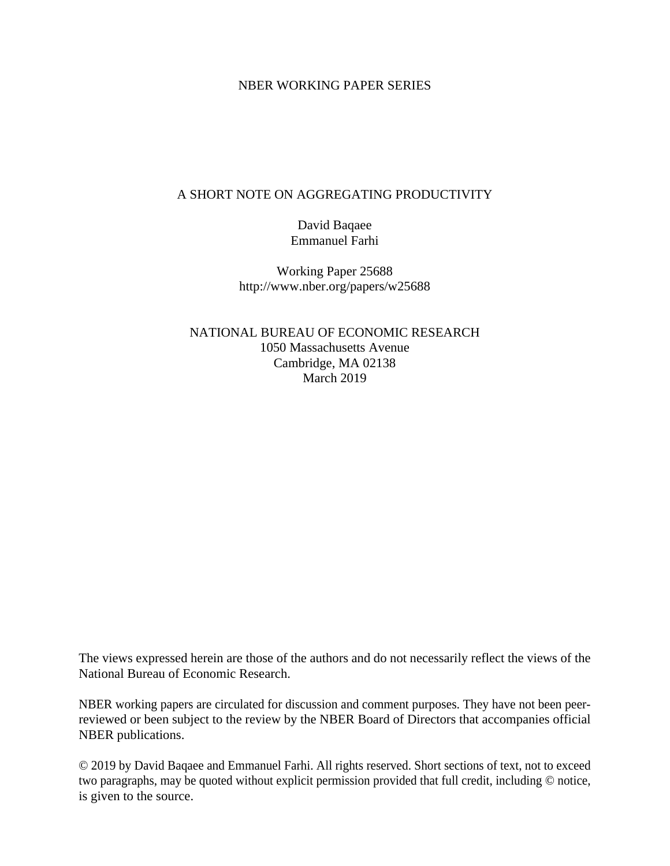#### NBER WORKING PAPER SERIES

#### A SHORT NOTE ON AGGREGATING PRODUCTIVITY

David Baqaee Emmanuel Farhi

Working Paper 25688 http://www.nber.org/papers/w25688

NATIONAL BUREAU OF ECONOMIC RESEARCH 1050 Massachusetts Avenue Cambridge, MA 02138 March 2019

The views expressed herein are those of the authors and do not necessarily reflect the views of the National Bureau of Economic Research.

NBER working papers are circulated for discussion and comment purposes. They have not been peerreviewed or been subject to the review by the NBER Board of Directors that accompanies official NBER publications.

© 2019 by David Baqaee and Emmanuel Farhi. All rights reserved. Short sections of text, not to exceed two paragraphs, may be quoted without explicit permission provided that full credit, including © notice, is given to the source.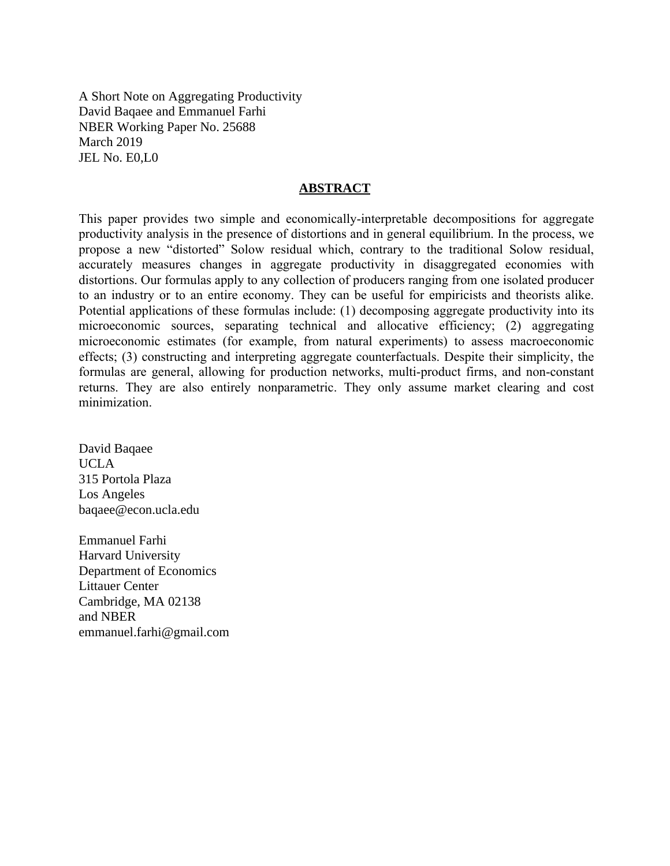A Short Note on Aggregating Productivity David Baqaee and Emmanuel Farhi NBER Working Paper No. 25688 March 2019 JEL No. E0,L0

#### **ABSTRACT**

This paper provides two simple and economically-interpretable decompositions for aggregate productivity analysis in the presence of distortions and in general equilibrium. In the process, we propose a new "distorted" Solow residual which, contrary to the traditional Solow residual, accurately measures changes in aggregate productivity in disaggregated economies with distortions. Our formulas apply to any collection of producers ranging from one isolated producer to an industry or to an entire economy. They can be useful for empiricists and theorists alike. Potential applications of these formulas include: (1) decomposing aggregate productivity into its microeconomic sources, separating technical and allocative efficiency; (2) aggregating microeconomic estimates (for example, from natural experiments) to assess macroeconomic effects; (3) constructing and interpreting aggregate counterfactuals. Despite their simplicity, the formulas are general, allowing for production networks, multi-product firms, and non-constant returns. They are also entirely nonparametric. They only assume market clearing and cost minimization.

David Baqaee UCLA 315 Portola Plaza Los Angeles baqaee@econ.ucla.edu

Emmanuel Farhi Harvard University Department of Economics Littauer Center Cambridge, MA 02138 and NBER emmanuel.farhi@gmail.com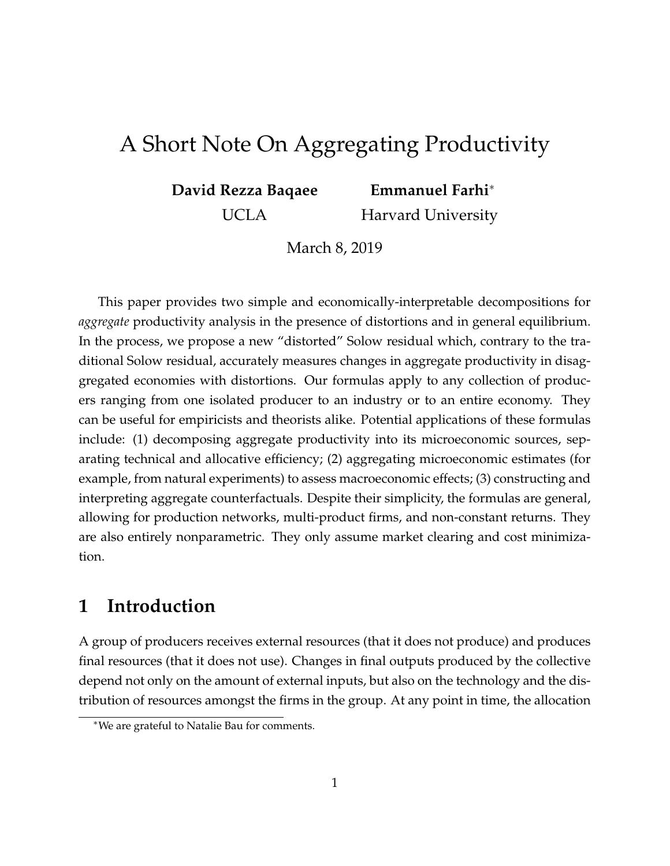# <span id="page-2-0"></span>A Short Note On Aggregating Productivity

**David Rezza Baqaee**

**Emmanuel Farhi**<sup>∗</sup>

UCLA

Harvard University

March 8, 2019

This paper provides two simple and economically-interpretable decompositions for *aggregate* productivity analysis in the presence of distortions and in general equilibrium. In the process, we propose a new "distorted" Solow residual which, contrary to the traditional Solow residual, accurately measures changes in aggregate productivity in disaggregated economies with distortions. Our formulas apply to any collection of producers ranging from one isolated producer to an industry or to an entire economy. They can be useful for empiricists and theorists alike. Potential applications of these formulas include: (1) decomposing aggregate productivity into its microeconomic sources, separating technical and allocative efficiency; (2) aggregating microeconomic estimates (for example, from natural experiments) to assess macroeconomic effects; (3) constructing and interpreting aggregate counterfactuals. Despite their simplicity, the formulas are general, allowing for production networks, multi-product firms, and non-constant returns. They are also entirely nonparametric. They only assume market clearing and cost minimization.

## **1 Introduction**

A group of producers receives external resources (that it does not produce) and produces final resources (that it does not use). Changes in final outputs produced by the collective depend not only on the amount of external inputs, but also on the technology and the distribution of resources amongst the firms in the group. At any point in time, the allocation

<sup>∗</sup>We are grateful to Natalie Bau for comments.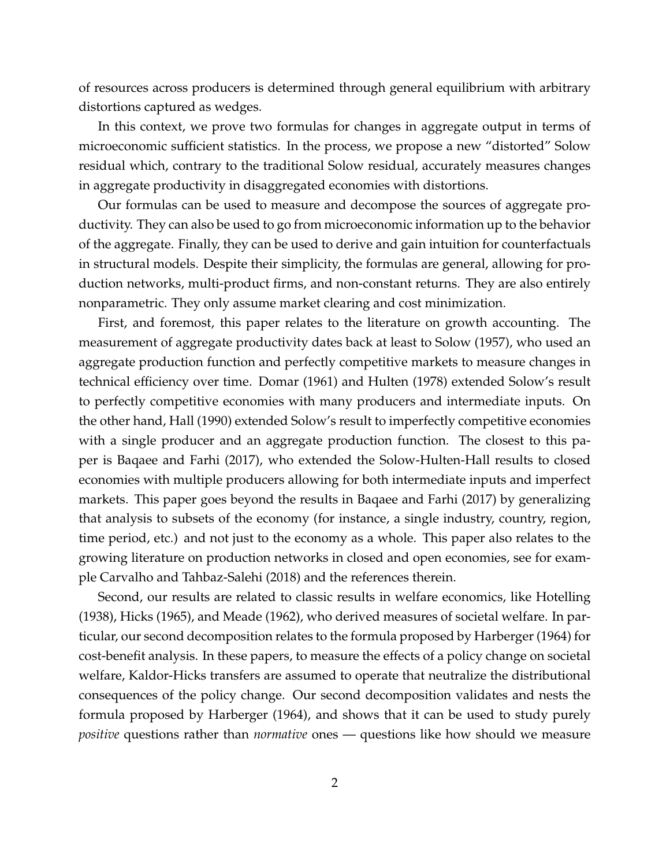of resources across producers is determined through general equilibrium with arbitrary distortions captured as wedges.

In this context, we prove two formulas for changes in aggregate output in terms of microeconomic sufficient statistics. In the process, we propose a new "distorted" Solow residual which, contrary to the traditional Solow residual, accurately measures changes in aggregate productivity in disaggregated economies with distortions.

Our formulas can be used to measure and decompose the sources of aggregate productivity. They can also be used to go from microeconomic information up to the behavior of the aggregate. Finally, they can be used to derive and gain intuition for counterfactuals in structural models. Despite their simplicity, the formulas are general, allowing for production networks, multi-product firms, and non-constant returns. They are also entirely nonparametric. They only assume market clearing and cost minimization.

First, and foremost, this paper relates to the literature on growth accounting. The measurement of aggregate productivity dates back at least to [Solow](#page-15-0) [\(1957\)](#page-15-0), who used an aggregate production function and perfectly competitive markets to measure changes in technical efficiency over time. [Domar](#page-14-0) [\(1961\)](#page-14-0) and [Hulten](#page-15-1) [\(1978\)](#page-15-1) extended Solow's result to perfectly competitive economies with many producers and intermediate inputs. On the other hand, [Hall](#page-14-1) [\(1990\)](#page-14-1) extended Solow's result to imperfectly competitive economies with a single producer and an aggregate production function. The closest to this paper is [Baqaee and Farhi](#page-14-2) [\(2017\)](#page-14-2), who extended the Solow-Hulten-Hall results to closed economies with multiple producers allowing for both intermediate inputs and imperfect markets. This paper goes beyond the results in [Baqaee and Farhi](#page-14-2) [\(2017\)](#page-14-2) by generalizing that analysis to subsets of the economy (for instance, a single industry, country, region, time period, etc.) and not just to the economy as a whole. This paper also relates to the growing literature on production networks in closed and open economies, see for example [Carvalho and Tahbaz-Salehi](#page-14-3) [\(2018\)](#page-14-3) and the references therein.

Second, our results are related to classic results in welfare economics, like [Hotelling](#page-15-2) [\(1938\)](#page-15-2), [Hicks](#page-14-4) [\(1965\)](#page-14-4), and [Meade](#page-15-3) [\(1962\)](#page-15-3), who derived measures of societal welfare. In particular, our second decomposition relates to the formula proposed by [Harberger](#page-14-5) [\(1964\)](#page-14-5) for cost-benefit analysis. In these papers, to measure the effects of a policy change on societal welfare, Kaldor-Hicks transfers are assumed to operate that neutralize the distributional consequences of the policy change. Our second decomposition validates and nests the formula proposed by [Harberger](#page-14-5) [\(1964\)](#page-14-5), and shows that it can be used to study purely *positive* questions rather than *normative* ones — questions like how should we measure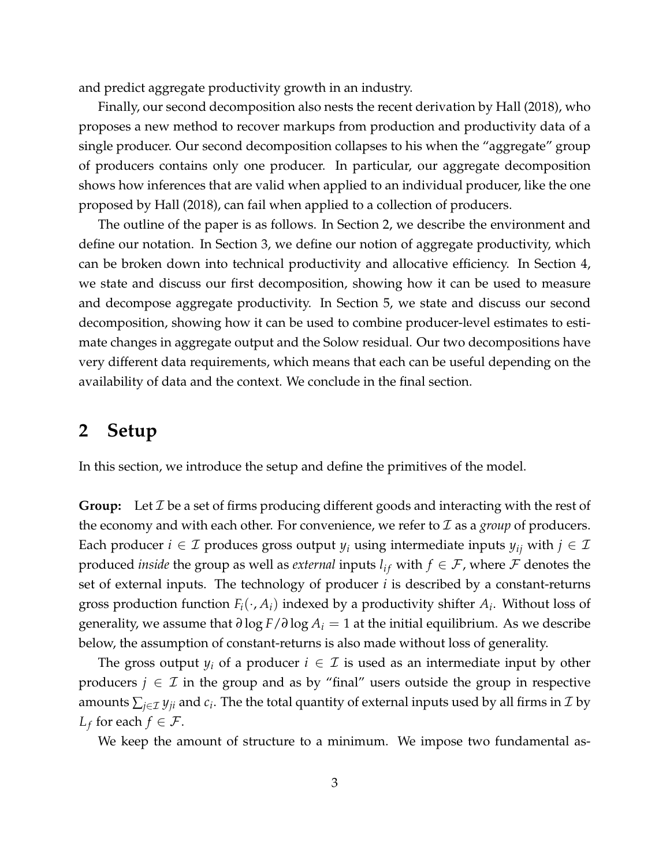and predict aggregate productivity growth in an industry.

Finally, our second decomposition also nests the recent derivation by [Hall](#page-14-6) [\(2018\)](#page-14-6), who proposes a new method to recover markups from production and productivity data of a single producer. Our second decomposition collapses to his when the "aggregate" group of producers contains only one producer. In particular, our aggregate decomposition shows how inferences that are valid when applied to an individual producer, like the one proposed by [Hall](#page-14-6) [\(2018\)](#page-14-6), can fail when applied to a collection of producers.

The outline of the paper is as follows. In Section [2,](#page-4-0) we describe the environment and define our notation. In Section [3,](#page-7-0) we define our notion of aggregate productivity, which can be broken down into technical productivity and allocative efficiency. In Section [4,](#page-8-0) we state and discuss our first decomposition, showing how it can be used to measure and decompose aggregate productivity. In Section [5,](#page-10-0) we state and discuss our second decomposition, showing how it can be used to combine producer-level estimates to estimate changes in aggregate output and the Solow residual. Our two decompositions have very different data requirements, which means that each can be useful depending on the availability of data and the context. We conclude in the final section.

### <span id="page-4-0"></span>**2 Setup**

In this section, we introduce the setup and define the primitives of the model.

**Group:** Let  $\mathcal I$  be a set of firms producing different goods and interacting with the rest of the economy and with each other. For convenience, we refer to  $\mathcal I$  as a *group* of producers. Each producer  $i \in \mathcal{I}$  produces gross output  $y_i$  using intermediate inputs  $y_{ij}$  with  $j \in \mathcal{I}$ produced *inside* the group as well as *external* inputs  $l_{if}$  with  $f \in \mathcal{F}$ , where  $\mathcal{F}$  denotes the set of external inputs. The technology of producer *i* is described by a constant-returns gross production function  $F_i(\cdot, A_i)$  indexed by a productivity shifter  $A_i$ . Without loss of generality, we assume that *∂* log *F*/*∂* log *A<sup>i</sup>* = 1 at the initial equilibrium. As we describe below, the assumption of constant-returns is also made without loss of generality.

The gross output  $y_i$  of a producer  $i \in \mathcal{I}$  is used as an intermediate input by other producers  $j \in \mathcal{I}$  in the group and as by "final" users outside the group in respective amounts  $\sum_{j\in\mathcal{I}}y_{ji}$  and  $c_i.$  The the total quantity of external inputs used by all firms in  $\mathcal{I}$  by  $L_f$  for each  $f \in \mathcal{F}$ .

We keep the amount of structure to a minimum. We impose two fundamental as-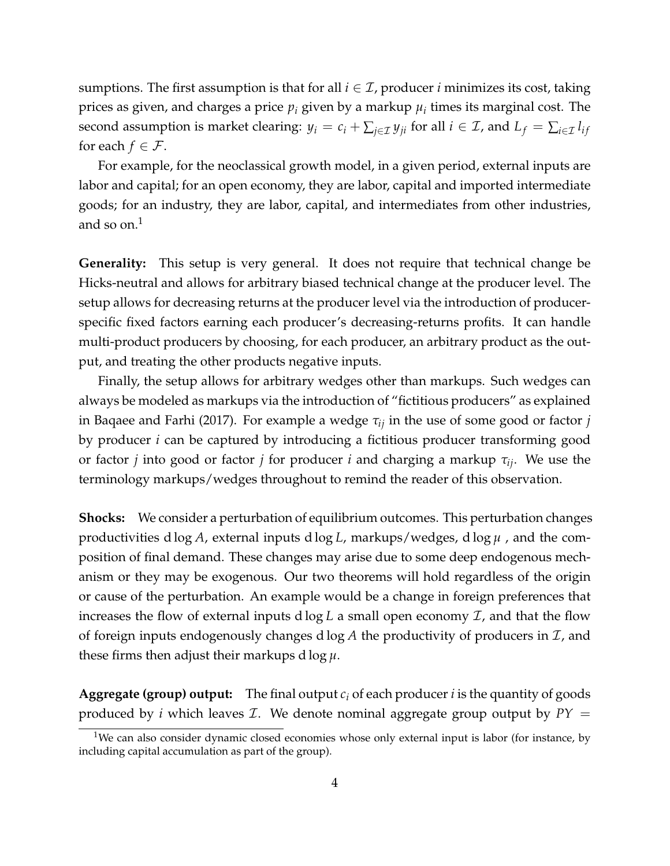sumptions. The first assumption is that for all  $i \in \mathcal{I}$ , producer *i* minimizes its cost, taking prices as given, and charges a price *p<sup>i</sup>* given by a markup *µ<sup>i</sup>* times its marginal cost. The second assumption is market clearing:  $y_i = c_i + \sum_{j \in \mathcal{I}} y_{ji}$  for all  $i \in \mathcal{I}$ , and  $L_f = \sum_{i \in \mathcal{I}} l_{if}$ for each  $f \in \mathcal{F}$ .

For example, for the neoclassical growth model, in a given period, external inputs are labor and capital; for an open economy, they are labor, capital and imported intermediate goods; for an industry, they are labor, capital, and intermediates from other industries, and so on. $<sup>1</sup>$  $<sup>1</sup>$  $<sup>1</sup>$ </sup>

**Generality:** This setup is very general. It does not require that technical change be Hicks-neutral and allows for arbitrary biased technical change at the producer level. The setup allows for decreasing returns at the producer level via the introduction of producerspecific fixed factors earning each producer's decreasing-returns profits. It can handle multi-product producers by choosing, for each producer, an arbitrary product as the output, and treating the other products negative inputs.

Finally, the setup allows for arbitrary wedges other than markups. Such wedges can always be modeled as markups via the introduction of "fictitious producers" as explained in [Baqaee and Farhi](#page-14-2) [\(2017\)](#page-14-2). For example a wedge *τij* in the use of some good or factor *j* by producer *i* can be captured by introducing a fictitious producer transforming good or factor *j* into good or factor *j* for producer *i* and charging a markup *τij*. We use the terminology markups/wedges throughout to remind the reader of this observation.

**Shocks:** We consider a perturbation of equilibrium outcomes. This perturbation changes productivities d log *A*, external inputs d log *L*, markups/wedges, d log *µ* , and the composition of final demand. These changes may arise due to some deep endogenous mechanism or they may be exogenous. Our two theorems will hold regardless of the origin or cause of the perturbation. An example would be a change in foreign preferences that increases the flow of external inputs  $d \log L$  a small open economy  $\mathcal{I}$ , and that the flow of foreign inputs endogenously changes d  $log A$  the productivity of producers in  $I$ , and these firms then adjust their markups d log *µ*.

**Aggregate (group) output:** The final output  $c_i$  of each producer *i* is the quantity of goods produced by *i* which leaves *I*. We denote nominal aggregate group output by  $PY =$ 

<sup>&</sup>lt;sup>1</sup>We can also consider dynamic closed economies whose only external input is labor (for instance, by including capital accumulation as part of the group).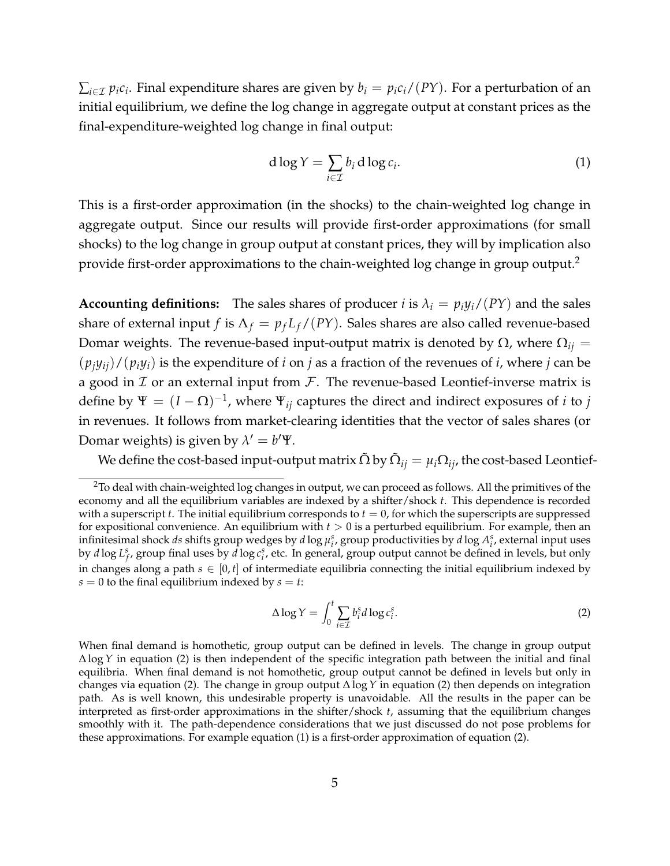$\sum_{i\in\mathcal{I}}p_{i}c_{i}$ . Final expenditure shares are given by  $b_{i}=p_{i}c_{i}/(PY)$ . For a perturbation of an initial equilibrium, we define the log change in aggregate output at constant prices as the final-expenditure-weighted log change in final output:

<span id="page-6-1"></span>
$$
d \log Y = \sum_{i \in \mathcal{I}} b_i d \log c_i.
$$
 (1)

This is a first-order approximation (in the shocks) to the chain-weighted log change in aggregate output. Since our results will provide first-order approximations (for small shocks) to the log change in group output at constant prices, they will by implication also provide first-order approximations to the chain-weighted log change in group output.<sup>[2](#page-2-0)</sup>

**Accounting definitions:** The sales shares of producer *i* is  $\lambda_i = p_i y_i / (PY)$  and the sales share of external input *f* is  $\Lambda_f = p_f L_f / (PY)$ . Sales shares are also called revenue-based Domar weights. The revenue-based input-output matrix is denoted by  $Ω$ , where  $Ω<sub>ij</sub>$  =  $(p_i y_{ij})/(p_i y_i)$  is the expenditure of *i* on *j* as a fraction of the revenues of *i*, where *j* can be a good in  $I$  or an external input from  $I$ . The revenue-based Leontief-inverse matrix is define by  $\Psi = (I - \Omega)^{-1}$ , where  $\Psi_{ij}$  captures the direct and indirect exposures of *i* to *j* in revenues. It follows from market-clearing identities that the vector of sales shares (or Domar weights) is given by  $\lambda' = b'\Psi$ .

We define the cost-based input-output matrix  $\tilde{\Omega}$  by  $\tilde{\Omega}_{ij}=\mu_i\Omega_{ij}$ , the cost-based Leontief-

<span id="page-6-0"></span>
$$
\Delta \log Y = \int_0^t \sum_{i \in \mathcal{I}} b_i^s d \log c_i^s. \tag{2}
$$

<sup>&</sup>lt;sup>2</sup>To deal with chain-weighted log changes in output, we can proceed as follows. All the primitives of the economy and all the equilibrium variables are indexed by a shifter/shock *t*. This dependence is recorded with a superscript  $t$ . The initial equilibrium corresponds to  $t = 0$ , for which the superscripts are suppressed for expositional convenience. An equilibrium with *t* > 0 is a perturbed equilibrium. For example, then an infinitesimal shock *ds* shifts group wedges by *d* log  $\mu_i^s$ , group productivities by *d* log  $A_i^s$ , external input uses by *d* log  $L_f^s$ , group final uses by *d* log  $c_i^s$ , etc. In general, group output cannot be defined in levels, but only in changes along a path  $s \in [0, t]$  of intermediate equilibria connecting the initial equilibrium indexed by  $s = 0$  to the final equilibrium indexed by  $s = t$ :

When final demand is homothetic, group output can be defined in levels. The change in group output ∆ log*Y* in equation [\(2\)](#page-6-0) is then independent of the specific integration path between the initial and final equilibria. When final demand is not homothetic, group output cannot be defined in levels but only in changes via equation [\(2\)](#page-6-0). The change in group output ∆ log*Y* in equation [\(2\)](#page-6-0) then depends on integration path. As is well known, this undesirable property is unavoidable. All the results in the paper can be interpreted as first-order approximations in the shifter/shock *t*, assuming that the equilibrium changes smoothly with it. The path-dependence considerations that we just discussed do not pose problems for these approximations. For example equation [\(1\)](#page-6-1) is a first-order approximation of equation [\(2\)](#page-6-0).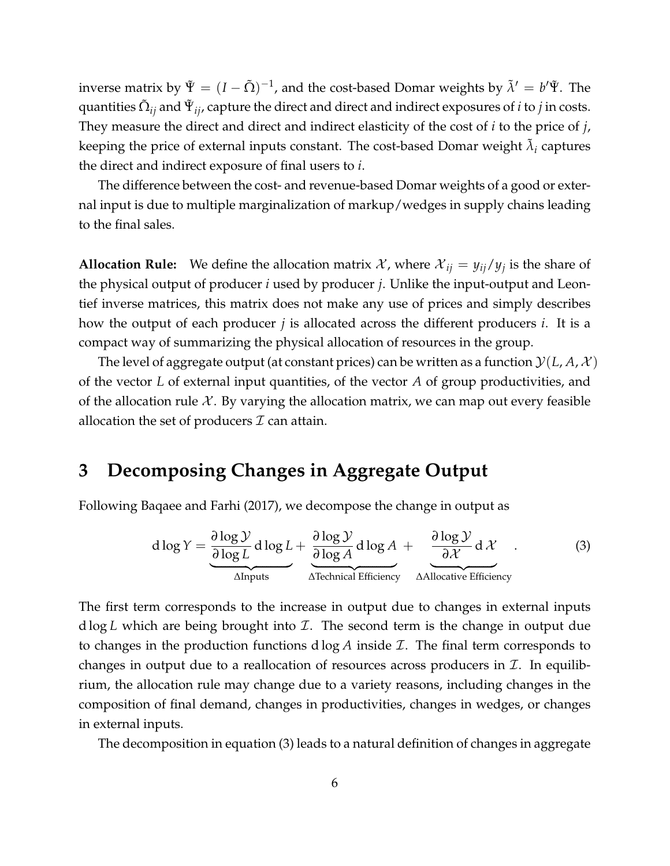inverse matrix by  $\tilde{\Psi} = (I-\tilde{\Omega})^{-1}$ , and the cost-based Domar weights by  $\tilde{\lambda}' = b'\tilde{\Psi}$ . The quantities  $\tilde{\Omega}_{ij}$  and  $\tilde{\Psi}_{ij}$ , capture the direct and direct and indirect exposures of  $i$  to  $j$  in costs. They measure the direct and direct and indirect elasticity of the cost of *i* to the price of *j*, keeping the price of external inputs constant. The cost-based Domar weight  $\tilde{\lambda}_i$  captures the direct and indirect exposure of final users to *i*.

The difference between the cost- and revenue-based Domar weights of a good or external input is due to multiple marginalization of markup/wedges in supply chains leading to the final sales.

**Allocation Rule:** We define the allocation matrix X, where  $\mathcal{X}_{ij} = y_{ij}/y_j$  is the share of the physical output of producer *i* used by producer *j*. Unlike the input-output and Leontief inverse matrices, this matrix does not make any use of prices and simply describes how the output of each producer *j* is allocated across the different producers *i*. It is a compact way of summarizing the physical allocation of resources in the group.

The level of aggregate output (at constant prices) can be written as a function  $\mathcal{Y}(L, A, \mathcal{X})$ of the vector *L* of external input quantities, of the vector *A* of group productivities, and of the allocation rule  $\mathcal{X}$ . By varying the allocation matrix, we can map out every feasible allocation the set of producers  $\mathcal I$  can attain.

## <span id="page-7-0"></span>**3 Decomposing Changes in Aggregate Output**

Following [Baqaee and Farhi](#page-14-2) [\(2017\)](#page-14-2), we decompose the change in output as

<span id="page-7-1"></span>
$$
d \log Y = \underbrace{\frac{\partial \log Y}{\partial \log L}}_{\text{Alnputs}} d \log L + \underbrace{\frac{\partial \log Y}{\partial \log A}}_{\text{Algebraical Efficiency}} d \log A + \underbrace{\frac{\partial \log Y}{\partial X}}_{\text{Allocative Efficiency}} d \chi \tag{3}
$$

The first term corresponds to the increase in output due to changes in external inputs d log *L* which are being brought into I. The second term is the change in output due to changes in the production functions d log *A* inside I. The final term corresponds to changes in output due to a reallocation of resources across producers in  $\mathcal{I}$ . In equilibrium, the allocation rule may change due to a variety reasons, including changes in the composition of final demand, changes in productivities, changes in wedges, or changes in external inputs.

The decomposition in equation [\(3\)](#page-7-1) leads to a natural definition of changes in aggregate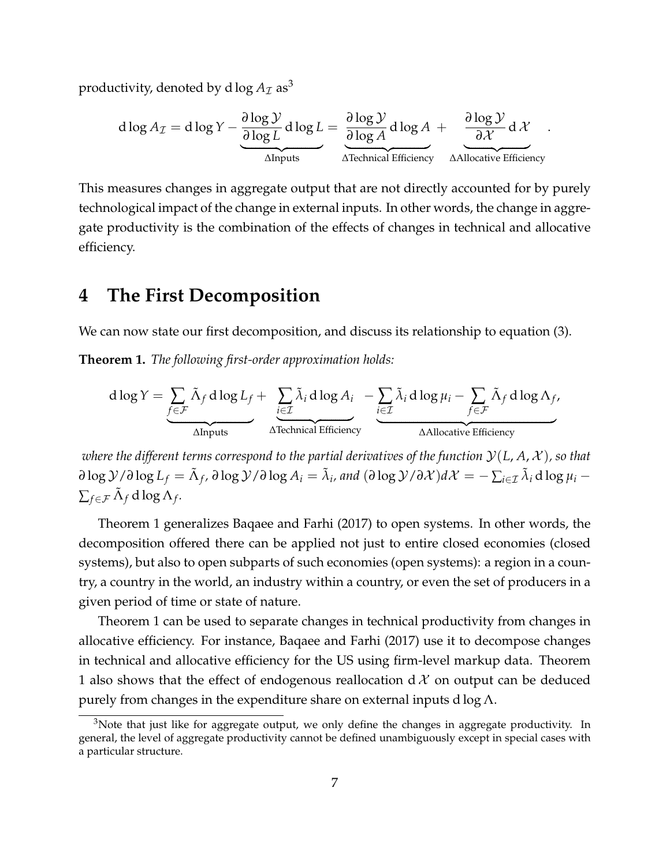productivity, denoted by d  $\log A_{\mathcal{I}}$  as<sup>[3](#page-2-0)</sup>

$$
d \log A_{\mathcal{I}} = d \log Y - \underbrace{\frac{\partial \log \mathcal{Y}}{\partial \log L}}_{\text{Alnputs}} d \log L = \underbrace{\frac{\partial \log \mathcal{Y}}{\partial \log A}}_{\text{Alpenical Efficiency}} d \log A + \underbrace{\frac{\partial \log \mathcal{Y}}{\partial \mathcal{X}}}_{\text{Allocative Efficiency}} d \mathcal{X}.
$$

This measures changes in aggregate output that are not directly accounted for by purely technological impact of the change in external inputs. In other words, the change in aggregate productivity is the combination of the effects of changes in technical and allocative efficiency.

### <span id="page-8-0"></span>**4 The First Decomposition**

We can now state our first decomposition, and discuss its relationship to equation [\(3\)](#page-7-1).

<span id="page-8-1"></span>**Theorem 1.** *The following first-order approximation holds:*

$$
d \log Y = \underbrace{\sum_{f \in \mathcal{F}} \tilde{\Lambda}_f d \log L_f}_{\text{Alnputs}} + \underbrace{\sum_{i \in \mathcal{I}} \tilde{\lambda}_i d \log A_i}_{\text{Alrchrical Efficiency}} - \underbrace{\sum_{i \in \mathcal{I}} \tilde{\lambda}_i d \log \mu_i - \sum_{f \in \mathcal{F}} \tilde{\Lambda}_f d \log \Lambda_f}_{\text{AAllocative Efficiency}}
$$

*where the different terms correspond to the partial derivatives of the function*  $\mathcal{Y}(L, A, \mathcal{X})$ *, so that*  $\partial \log \mathcal Y/\partial \log L_f = \tilde \Lambda_f$ ,  $\partial \log \mathcal Y/\partial \log A_i = \tilde \lambda_i$ , and  $(\partial \log \mathcal Y/\partial \mathcal X)d\mathcal X = -\sum_{i \in \mathcal I} \tilde \lambda_i \operatorname{d} \log \mu_i - \lambda_i$  $\sum_{f \in \mathcal{F}} \tilde{\Lambda}_f d \log \Lambda_f$ .

Theorem [1](#page-8-1) generalizes [Baqaee and Farhi](#page-14-2) [\(2017\)](#page-14-2) to open systems. In other words, the decomposition offered there can be applied not just to entire closed economies (closed systems), but also to open subparts of such economies (open systems): a region in a country, a country in the world, an industry within a country, or even the set of producers in a given period of time or state of nature.

Theorem [1](#page-8-1) can be used to separate changes in technical productivity from changes in allocative efficiency. For instance, [Baqaee and Farhi](#page-14-2) [\(2017\)](#page-14-2) use it to decompose changes in technical and allocative efficiency for the US using firm-level markup data. Theorem [1](#page-8-1) also shows that the effect of endogenous reallocation d  $\mathcal X$  on output can be deduced purely from changes in the expenditure share on external inputs d  $\log \Lambda$ .

 $3$ Note that just like for aggregate output, we only define the changes in aggregate productivity. In general, the level of aggregate productivity cannot be defined unambiguously except in special cases with a particular structure.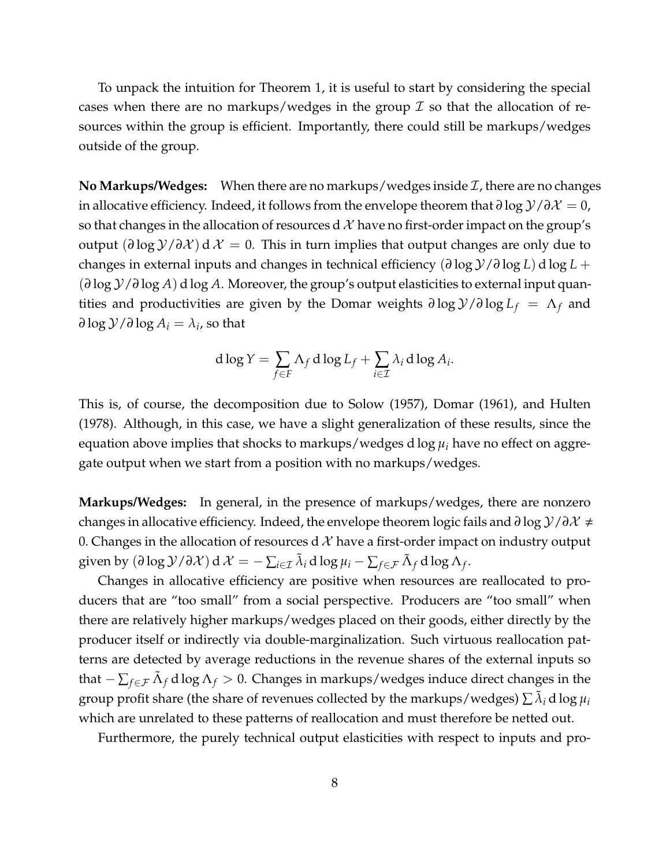To unpack the intuition for Theorem [1,](#page-8-1) it is useful to start by considering the special cases when there are no markups/wedges in the group  $\mathcal I$  so that the allocation of resources within the group is efficient. Importantly, there could still be markups/wedges outside of the group.

**No Markups/Wedges:** When there are no markups/wedges inside  $\mathcal{I}$ , there are no changes in allocative efficiency. Indeed, it follows from the envelope theorem that *∂* log Y/*∂*X = 0, so that changes in the allocation of resources d  $\mathcal X$  have no first-order impact on the group's output (*∂* log Y/*∂*X ) d X = 0. This in turn implies that output changes are only due to changes in external inputs and changes in technical efficiency (*∂* log Y/*∂* log *L*) d log *L* + (*∂* log Y/*∂* log *A*) d log *A*. Moreover, the group's output elasticities to external input quantities and productivities are given by the Domar weights  $\partial \log y / \partial \log L_f = \Lambda_f$  and  $\partial \log \mathcal{Y}/\partial \log A_i = \lambda_i$ , so that

$$
d \log Y = \sum_{f \in F} \Lambda_f d \log L_f + \sum_{i \in \mathcal{I}} \lambda_i d \log A_i.
$$

This is, of course, the decomposition due to [Solow](#page-15-0) [\(1957\)](#page-15-0), [Domar](#page-14-0) [\(1961\)](#page-14-0), and [Hulten](#page-15-1) [\(1978\)](#page-15-1). Although, in this case, we have a slight generalization of these results, since the equation above implies that shocks to markups/wedges d log *µ<sup>i</sup>* have no effect on aggregate output when we start from a position with no markups/wedges.

**Markups/Wedges:** In general, in the presence of markups/wedges, there are nonzero changes in allocative efficiency. Indeed, the envelope theorem logic fails and *∂* log Y/*∂*X , 0. Changes in the allocation of resources d  $\mathcal{X}$  have a first-order impact on industry output given by  $(\partial \log \mathcal{Y}/\partial \mathcal{X}) d\mathcal{X} = -\sum_{i \in \mathcal{I}} \tilde{\lambda}_i d \log \mu_i - \sum_{f \in \mathcal{F}} \tilde{\Lambda}_f d \log \Lambda_f$ .

Changes in allocative efficiency are positive when resources are reallocated to producers that are "too small" from a social perspective. Producers are "too small" when there are relatively higher markups/wedges placed on their goods, either directly by the producer itself or indirectly via double-marginalization. Such virtuous reallocation patterns are detected by average reductions in the revenue shares of the external inputs so that − ∑*f*∈F Λ˜ *<sup>f</sup>* d log Λ*<sup>f</sup>* > 0. Changes in markups/wedges induce direct changes in the group profit share (the share of revenues collected by the markups/wedges)  $\sum \tilde{\lambda}_i$  d log  $\mu_i$ which are unrelated to these patterns of reallocation and must therefore be netted out.

Furthermore, the purely technical output elasticities with respect to inputs and pro-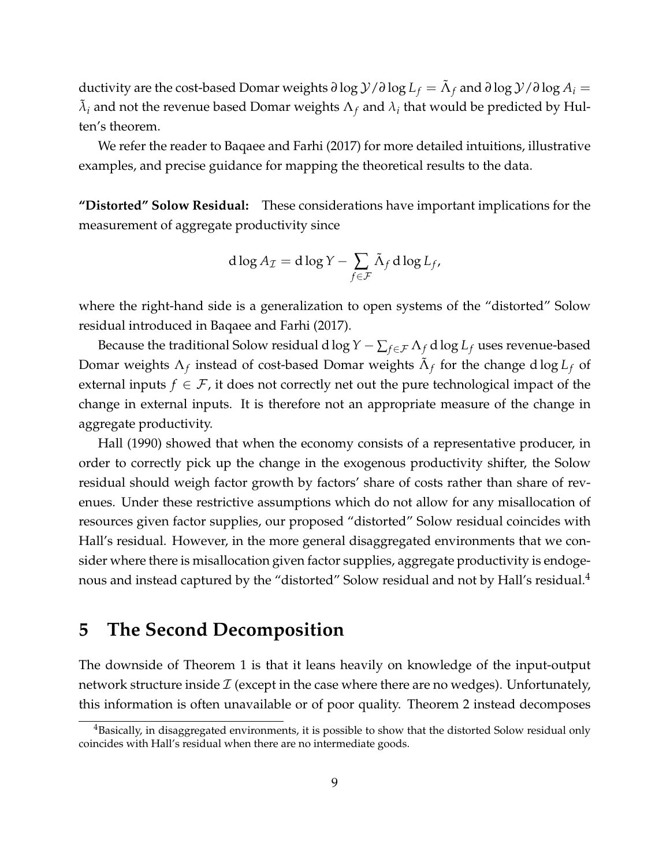ductivity are the cost-based Domar weights  $\partial \log \mathcal{Y}/\partial \log L_f = \tilde{\Lambda}_f$  and  $\partial \log \mathcal{Y}/\partial \log A_i =$  $\tilde{\lambda}_i$  and not the revenue based Domar weights  $\Lambda_f$  and  $\lambda_i$  that would be predicted by Hulten's theorem.

We refer the reader to [Baqaee and Farhi](#page-14-2) [\(2017\)](#page-14-2) for more detailed intuitions, illustrative examples, and precise guidance for mapping the theoretical results to the data.

**"Distorted" Solow Residual:** These considerations have important implications for the measurement of aggregate productivity since

$$
d \log A_{\mathcal{I}} = d \log Y - \sum_{f \in \mathcal{F}} \tilde{\Lambda}_f d \log L_f,
$$

where the right-hand side is a generalization to open systems of the "distorted" Solow residual introduced in [Baqaee and Farhi](#page-14-2) [\(2017\)](#page-14-2).

Because the traditional Solow residual d log  $Y - \sum_{f \in \mathcal{F}} \Lambda_f$  d log  $L_f$  uses revenue-based Domar weights  $\Lambda_f$  instead of cost-based Domar weights  $\tilde{\Lambda}_f$  for the change dlog  $L_f$  of external inputs  $f \in \mathcal{F}$ , it does not correctly net out the pure technological impact of the change in external inputs. It is therefore not an appropriate measure of the change in aggregate productivity.

[Hall](#page-14-1) [\(1990\)](#page-14-1) showed that when the economy consists of a representative producer, in order to correctly pick up the change in the exogenous productivity shifter, the Solow residual should weigh factor growth by factors' share of costs rather than share of revenues. Under these restrictive assumptions which do not allow for any misallocation of resources given factor supplies, our proposed "distorted" Solow residual coincides with Hall's residual. However, in the more general disaggregated environments that we consider where there is misallocation given factor supplies, aggregate productivity is endoge-nous and instead captured by the "distorted" Solow residual and not by Hall's residual.<sup>[4](#page-2-0)</sup>

### <span id="page-10-0"></span>**5 The Second Decomposition**

The downside of Theorem [1](#page-8-1) is that it leans heavily on knowledge of the input-output network structure inside  $\mathcal I$  (except in the case where there are no wedges). Unfortunately, this information is often unavailable or of poor quality. Theorem [2](#page-11-0) instead decomposes

 $4B$ asically, in disaggregated environments, it is possible to show that the distorted Solow residual only coincides with Hall's residual when there are no intermediate goods.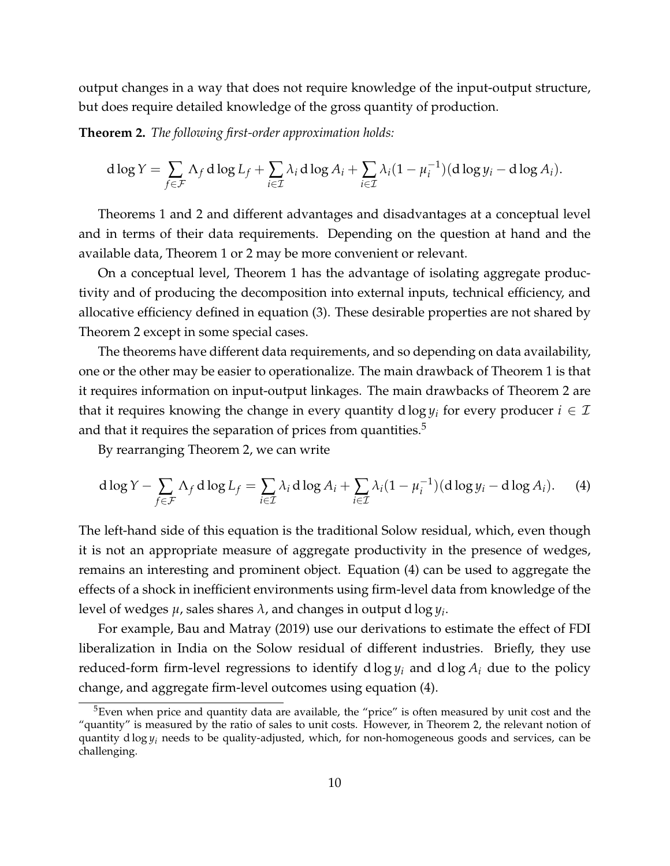output changes in a way that does not require knowledge of the input-output structure, but does require detailed knowledge of the gross quantity of production.

<span id="page-11-0"></span>**Theorem 2.** *The following first-order approximation holds:*

$$
d \log Y = \sum_{f \in \mathcal{F}} \Lambda_f d \log L_f + \sum_{i \in \mathcal{I}} \lambda_i d \log A_i + \sum_{i \in \mathcal{I}} \lambda_i (1 - \mu_i^{-1}) (d \log y_i - d \log A_i).
$$

Theorems [1](#page-8-1) and [2](#page-11-0) and different advantages and disadvantages at a conceptual level and in terms of their data requirements. Depending on the question at hand and the available data, Theorem [1](#page-8-1) or [2](#page-11-0) may be more convenient or relevant.

On a conceptual level, Theorem [1](#page-8-1) has the advantage of isolating aggregate productivity and of producing the decomposition into external inputs, technical efficiency, and allocative efficiency defined in equation [\(3\)](#page-7-1). These desirable properties are not shared by Theorem [2](#page-11-0) except in some special cases.

The theorems have different data requirements, and so depending on data availability, one or the other may be easier to operationalize. The main drawback of Theorem [1](#page-8-1) is that it requires information on input-output linkages. The main drawbacks of Theorem [2](#page-11-0) are that it requires knowing the change in every quantity  $d \log y_i$  for every producer  $i \in \mathcal{I}$ and that it requires the separation of prices from quantities. $5$ 

By rearranging Theorem [2,](#page-11-0) we can write

<span id="page-11-1"></span>
$$
d \log Y - \sum_{f \in \mathcal{F}} \Lambda_f d \log L_f = \sum_{i \in \mathcal{I}} \lambda_i d \log A_i + \sum_{i \in \mathcal{I}} \lambda_i (1 - \mu_i^{-1}) (d \log y_i - d \log A_i). \tag{4}
$$

The left-hand side of this equation is the traditional Solow residual, which, even though it is not an appropriate measure of aggregate productivity in the presence of wedges, remains an interesting and prominent object. Equation [\(4\)](#page-11-1) can be used to aggregate the effects of a shock in inefficient environments using firm-level data from knowledge of the level of wedges *µ*, sales shares *λ*, and changes in output d log *y<sup>i</sup>* .

For example, [Bau and Matray](#page-14-7) [\(2019\)](#page-14-7) use our derivations to estimate the effect of FDI liberalization in India on the Solow residual of different industries. Briefly, they use reduced-form firm-level regressions to identify d  $\log y_i$  and d  $\log A_i$  due to the policy change, and aggregate firm-level outcomes using equation [\(4\)](#page-11-1).

<sup>&</sup>lt;sup>5</sup>Even when price and quantity data are available, the "price" is often measured by unit cost and the "quantity" is measured by the ratio of sales to unit costs. However, in Theorem [2,](#page-11-0) the relevant notion of quantity d log *y<sup>i</sup>* needs to be quality-adjusted, which, for non-homogeneous goods and services, can be challenging.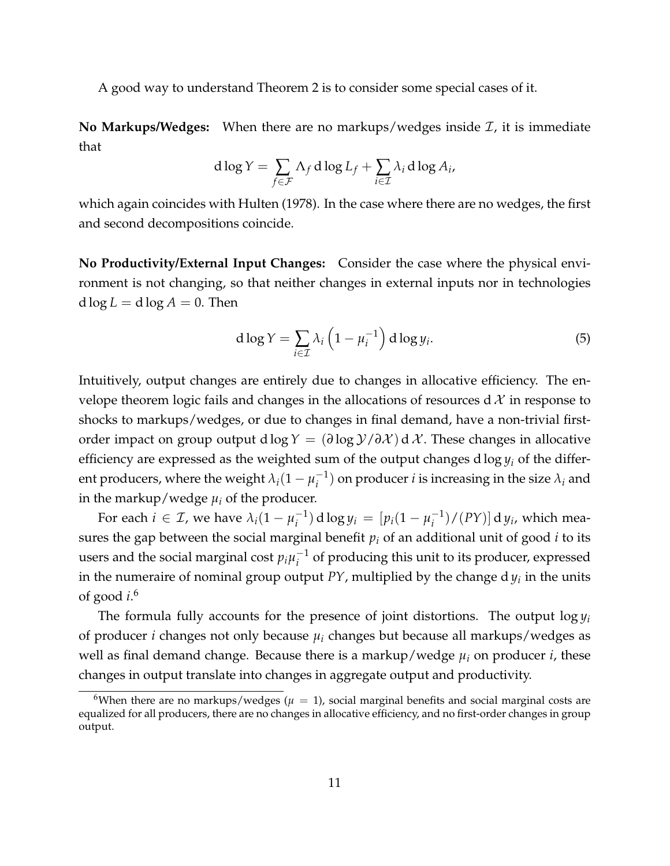A good way to understand Theorem [2](#page-11-0) is to consider some special cases of it.

**No Markups/Wedges:** When there are no markups/wedges inside  $\mathcal{I}$ , it is immediate that

$$
d \log Y = \sum_{f \in \mathcal{F}} \Lambda_f d \log L_f + \sum_{i \in \mathcal{I}} \lambda_i d \log A_i,
$$

which again coincides with [Hulten](#page-15-1) [\(1978\)](#page-15-1). In the case where there are no wedges, the first and second decompositions coincide.

**No Productivity/External Input Changes:** Consider the case where the physical environment is not changing, so that neither changes in external inputs nor in technologies  $d \log L = d \log A = 0$ . Then

<span id="page-12-0"></span>
$$
d \log Y = \sum_{i \in \mathcal{I}} \lambda_i \left( 1 - \mu_i^{-1} \right) d \log y_i.
$$
 (5)

Intuitively, output changes are entirely due to changes in allocative efficiency. The envelope theorem logic fails and changes in the allocations of resources  $d \mathcal{X}$  in response to shocks to markups/wedges, or due to changes in final demand, have a non-trivial firstorder impact on group output d log  $Y = (\partial \log Y / \partial X) dX$ . These changes in allocative efficiency are expressed as the weighted sum of the output changes d log *y<sup>i</sup>* of the different producers, where the weight  $\lambda_i(1-\mu_i^{-1})$  $i^{\text{-}1}_{i}$ ) on producer *i* is increasing in the size  $\lambda_{i}$  and in the markup/wedge  $\mu_i$  of the producer.

For each  $i \in \mathcal{I}$ , we have  $\lambda_i(1 - \mu_i^{-1})$  $j_i^{-1}$ ) d log  $y_i = [p_i(1 - \mu_i^{-1})]$  $\binom{-1}{i}$ / $(PY)$ ] d  $y_i$ , which measures the gap between the social marginal benefit  $p_i$  of an additional unit of good  $i$  to its users and the social marginal cost  $p_i\mu_i^{-1}$  $i^{-1}$  of producing this unit to its producer, expressed in the numeraire of nominal group output *PY*, multiplied by the change d *y<sup>i</sup>* in the units of good *i*. [6](#page-2-0)

The formula fully accounts for the presence of joint distortions. The output  $\log y_i$ of producer *i* changes not only because  $\mu_i$  changes but because all markups/wedges as well as final demand change. Because there is a markup/wedge *µ<sup>i</sup>* on producer *i*, these changes in output translate into changes in aggregate output and productivity.

<sup>&</sup>lt;sup>6</sup>When there are no markups/wedges ( $\mu = 1$ ), social marginal benefits and social marginal costs are equalized for all producers, there are no changes in allocative efficiency, and no first-order changes in group output.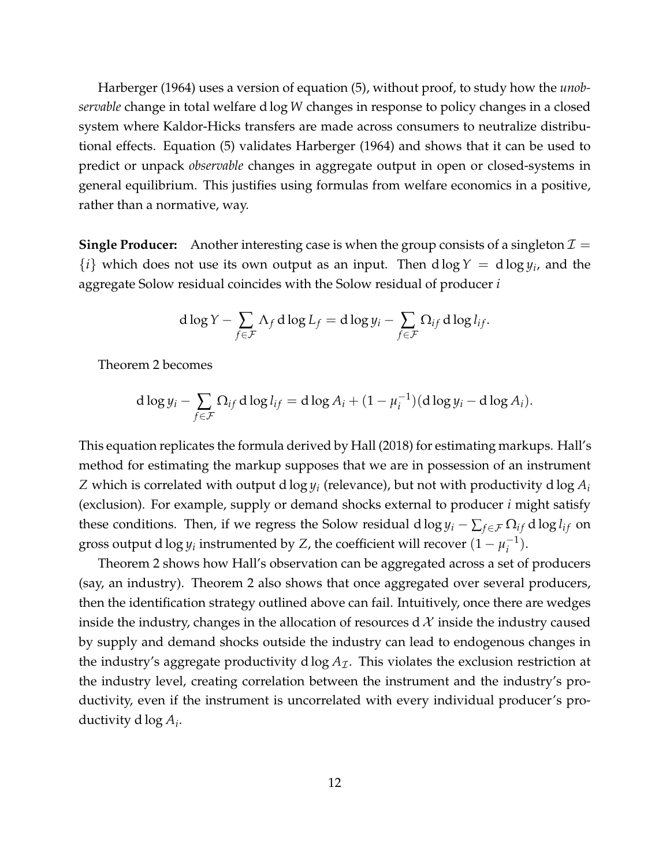[Harberger](#page-14-5) [\(1964\)](#page-14-5) uses a version of equation [\(5\)](#page-12-0), without proof, to study how the *unobservable* change in total welfare d log *W* changes in response to policy changes in a closed system where Kaldor-Hicks transfers are made across consumers to neutralize distributional effects. Equation [\(5\)](#page-12-0) validates [Harberger](#page-14-5) [\(1964\)](#page-14-5) and shows that it can be used to predict or unpack *observable* changes in aggregate output in open or closed-systems in general equilibrium. This justifies using formulas from welfare economics in a positive, rather than a normative, way.

**Single Producer:** Another interesting case is when the group consists of a singleton  $\mathcal{I} =$  $\{i\}$  which does not use its own output as an input. Then  $d \log Y = d \log y_i$ , and the aggregate Solow residual coincides with the Solow residual of producer *i*

$$
d \log Y - \sum_{f \in \mathcal{F}} \Lambda_f d \log L_f = d \log y_i - \sum_{f \in \mathcal{F}} \Omega_{if} d \log l_{if}.
$$

Theorem [2](#page-11-0) becomes

$$
d \log y_i - \sum_{f \in \mathcal{F}} \Omega_{if} d \log l_{if} = d \log A_i + (1 - \mu_i^{-1}) (d \log y_i - d \log A_i).
$$

This equation replicates the formula derived by [Hall](#page-14-6) [\(2018\)](#page-14-6) for estimating markups. Hall's method for estimating the markup supposes that we are in possession of an instrument  $Z$  which is correlated with output d log  $y_i$  (relevance), but not with productivity d log  $A_i$ (exclusion). For example, supply or demand shocks external to producer *i* might satisfy these conditions. Then, if we regress the Solow residual d log  $y_i - \sum_{f \in \mathcal{F}} \Omega_{if}$  d log  $l_{if}$  on gross output d  $\log y_i$  instrumented by *Z*, the coefficient will recover  $(1-\mu_i^{-1})$  $\binom{-1}{i}$ .

Theorem [2](#page-11-0) shows how Hall's observation can be aggregated across a set of producers (say, an industry). Theorem [2](#page-11-0) also shows that once aggregated over several producers, then the identification strategy outlined above can fail. Intuitively, once there are wedges inside the industry, changes in the allocation of resources d  $\mathcal X$  inside the industry caused by supply and demand shocks outside the industry can lead to endogenous changes in the industry's aggregate productivity d  $log A<sub>T</sub>$ . This violates the exclusion restriction at the industry level, creating correlation between the instrument and the industry's productivity, even if the instrument is uncorrelated with every individual producer's productivity d log *A<sup>i</sup>* .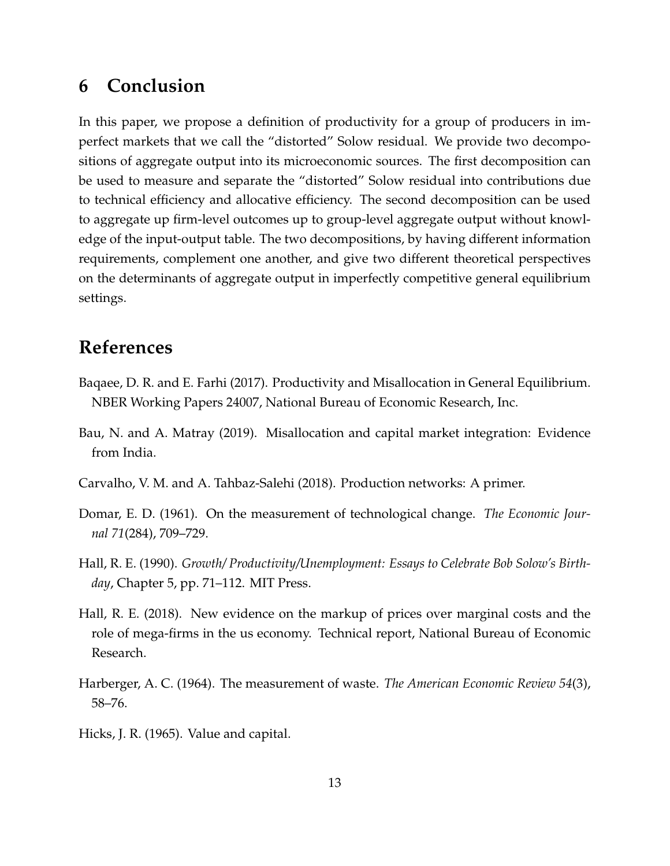## **6 Conclusion**

In this paper, we propose a definition of productivity for a group of producers in imperfect markets that we call the "distorted" Solow residual. We provide two decompositions of aggregate output into its microeconomic sources. The first decomposition can be used to measure and separate the "distorted" Solow residual into contributions due to technical efficiency and allocative efficiency. The second decomposition can be used to aggregate up firm-level outcomes up to group-level aggregate output without knowledge of the input-output table. The two decompositions, by having different information requirements, complement one another, and give two different theoretical perspectives on the determinants of aggregate output in imperfectly competitive general equilibrium settings.

## **References**

- <span id="page-14-2"></span>Baqaee, D. R. and E. Farhi (2017). Productivity and Misallocation in General Equilibrium. NBER Working Papers 24007, National Bureau of Economic Research, Inc.
- <span id="page-14-7"></span>Bau, N. and A. Matray (2019). Misallocation and capital market integration: Evidence from India.
- <span id="page-14-3"></span>Carvalho, V. M. and A. Tahbaz-Salehi (2018). Production networks: A primer.
- <span id="page-14-0"></span>Domar, E. D. (1961). On the measurement of technological change. *The Economic Journal 71*(284), 709–729.
- <span id="page-14-1"></span>Hall, R. E. (1990). *Growth/ Productivity/Unemployment: Essays to Celebrate Bob Solow's Birthday*, Chapter 5, pp. 71–112. MIT Press.
- <span id="page-14-6"></span>Hall, R. E. (2018). New evidence on the markup of prices over marginal costs and the role of mega-firms in the us economy. Technical report, National Bureau of Economic Research.
- <span id="page-14-5"></span>Harberger, A. C. (1964). The measurement of waste. *The American Economic Review 54*(3), 58–76.
- <span id="page-14-4"></span>Hicks, J. R. (1965). Value and capital.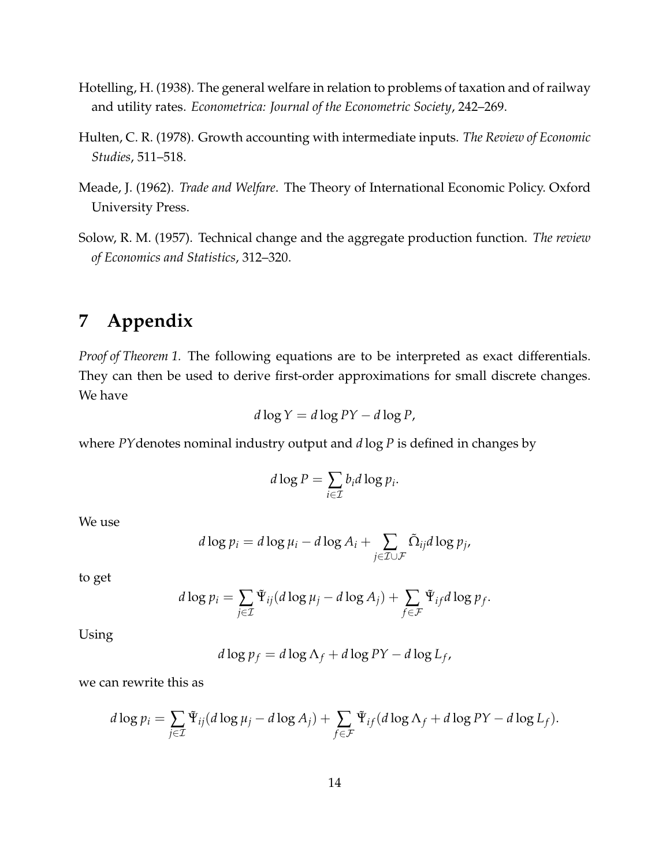- <span id="page-15-2"></span>Hotelling, H. (1938). The general welfare in relation to problems of taxation and of railway and utility rates. *Econometrica: Journal of the Econometric Society*, 242–269.
- <span id="page-15-1"></span>Hulten, C. R. (1978). Growth accounting with intermediate inputs. *The Review of Economic Studies*, 511–518.
- <span id="page-15-3"></span>Meade, J. (1962). *Trade and Welfare*. The Theory of International Economic Policy. Oxford University Press.
- <span id="page-15-0"></span>Solow, R. M. (1957). Technical change and the aggregate production function. *The review of Economics and Statistics*, 312–320.

## **7 Appendix**

*Proof of Theorem [1.](#page-8-1)* The following equations are to be interpreted as exact differentials. They can then be used to derive first-order approximations for small discrete changes. We have

$$
d\log Y = d\log PY - d\log P,
$$

where *PY*denotes nominal industry output and *d* log *P* is defined in changes by

$$
d\log P = \sum_{i\in\mathcal{I}} b_i d\log p_i.
$$

We use

$$
d \log p_i = d \log \mu_i - d \log A_i + \sum_{j \in \mathcal{I} \cup \mathcal{F}} \tilde{\Omega}_{ij} d \log p_j,
$$

to get

$$
d \log p_i = \sum_{j \in \mathcal{I}} \tilde{\Psi}_{ij} (d \log \mu_j - d \log A_j) + \sum_{f \in \mathcal{F}} \tilde{\Psi}_{if} d \log p_f.
$$

Using

$$
d \log p_f = d \log \Lambda_f + d \log PY - d \log L_f,
$$

we can rewrite this as

$$
d \log p_i = \sum_{j \in \mathcal{I}} \tilde{\Psi}_{ij} (d \log \mu_j - d \log A_j) + \sum_{f \in \mathcal{F}} \tilde{\Psi}_{if} (d \log \Lambda_f + d \log PY - d \log L_f).
$$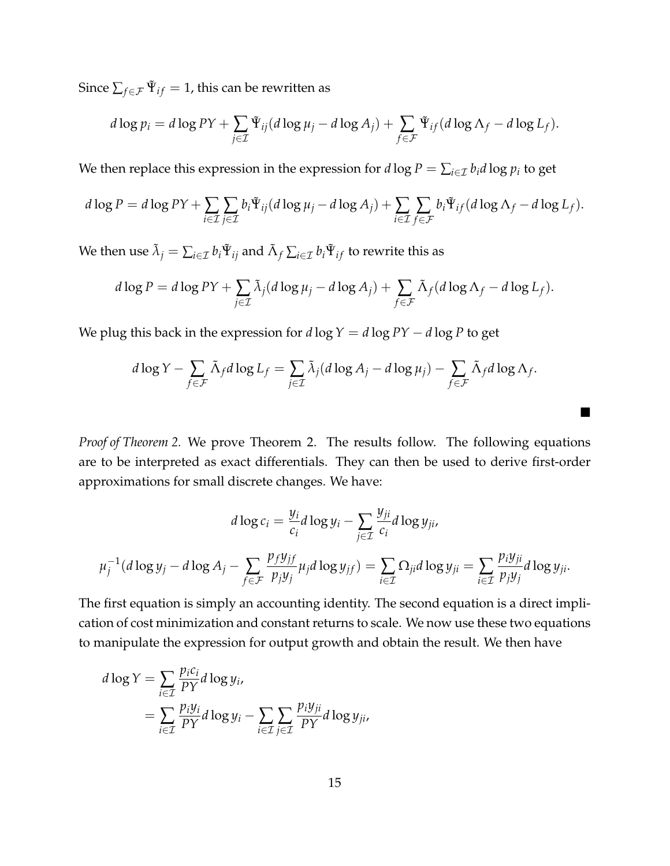Since  $\sum_{f \in \mathcal{F}} \tilde{\Psi}_{if} = 1$ , this can be rewritten as

$$
d \log p_i = d \log PY + \sum_{j \in \mathcal{I}} \tilde{\Psi}_{ij} (d \log \mu_j - d \log A_j) + \sum_{f \in \mathcal{F}} \tilde{\Psi}_{if} (d \log \Lambda_f - d \log L_f).
$$

We then replace this expression in the expression for  $d\log P = \sum_{i\in\mathcal{I}} b_i d\log p_i$  to get

$$
d \log P = d \log PY + \sum_{i \in \mathcal{I}} \sum_{j \in \mathcal{I}} b_i \tilde{\Psi}_{ij} (d \log \mu_j - d \log A_j) + \sum_{i \in \mathcal{I}} \sum_{f \in \mathcal{F}} b_i \tilde{\Psi}_{if} (d \log \Lambda_f - d \log L_f).
$$

We then use  $\tilde{\lambda}_j = \sum_{i \in \mathcal{I}} b_i \tilde{\Psi}_{ij}$  and  $\tilde{\Lambda}_f \sum_{i \in \mathcal{I}} b_i \tilde{\Psi}_{if}$  to rewrite this as

$$
d \log P = d \log PY + \sum_{j \in \mathcal{I}} \tilde{\lambda}_j (d \log \mu_j - d \log A_j) + \sum_{f \in \mathcal{F}} \tilde{\Lambda}_f (d \log \Lambda_f - d \log L_f).
$$

We plug this back in the expression for  $d \log Y = d \log PY - d \log P$  to get

$$
d \log Y - \sum_{f \in \mathcal{F}} \tilde{\Lambda}_f d \log L_f = \sum_{j \in \mathcal{I}} \tilde{\lambda}_j (d \log A_j - d \log \mu_j) - \sum_{f \in \mathcal{F}} \tilde{\Lambda}_f d \log \Lambda_f.
$$

 $\blacksquare$ 

*Proof of Theorem [2.](#page-11-0)* We prove Theorem [2.](#page-11-0) The results follow. The following equations are to be interpreted as exact differentials. They can then be used to derive first-order approximations for small discrete changes. We have:

$$
d \log c_i = \frac{y_i}{c_i} d \log y_i - \sum_{j \in \mathcal{I}} \frac{y_{ji}}{c_i} d \log y_{ji},
$$

$$
\mu_j^{-1} (d \log y_j - d \log A_j - \sum_{f \in \mathcal{F}} \frac{p_f y_{jf}}{p_j y_j} \mu_j d \log y_{jf}) = \sum_{i \in \mathcal{I}} \Omega_{ji} d \log y_{ji} = \sum_{i \in \mathcal{I}} \frac{p_i y_{ji}}{p_j y_j} d \log y_{ji}.
$$

The first equation is simply an accounting identity. The second equation is a direct implication of cost minimization and constant returns to scale. We now use these two equations to manipulate the expression for output growth and obtain the result. We then have

$$
d \log Y = \sum_{i \in \mathcal{I}} \frac{p_i c_i}{PY} d \log y_i,
$$
  
= 
$$
\sum_{i \in \mathcal{I}} \frac{p_i y_i}{PY} d \log y_i - \sum_{i \in \mathcal{I}} \sum_{j \in \mathcal{I}} \frac{p_i y_{ji}}{PY} d \log y_{ji},
$$